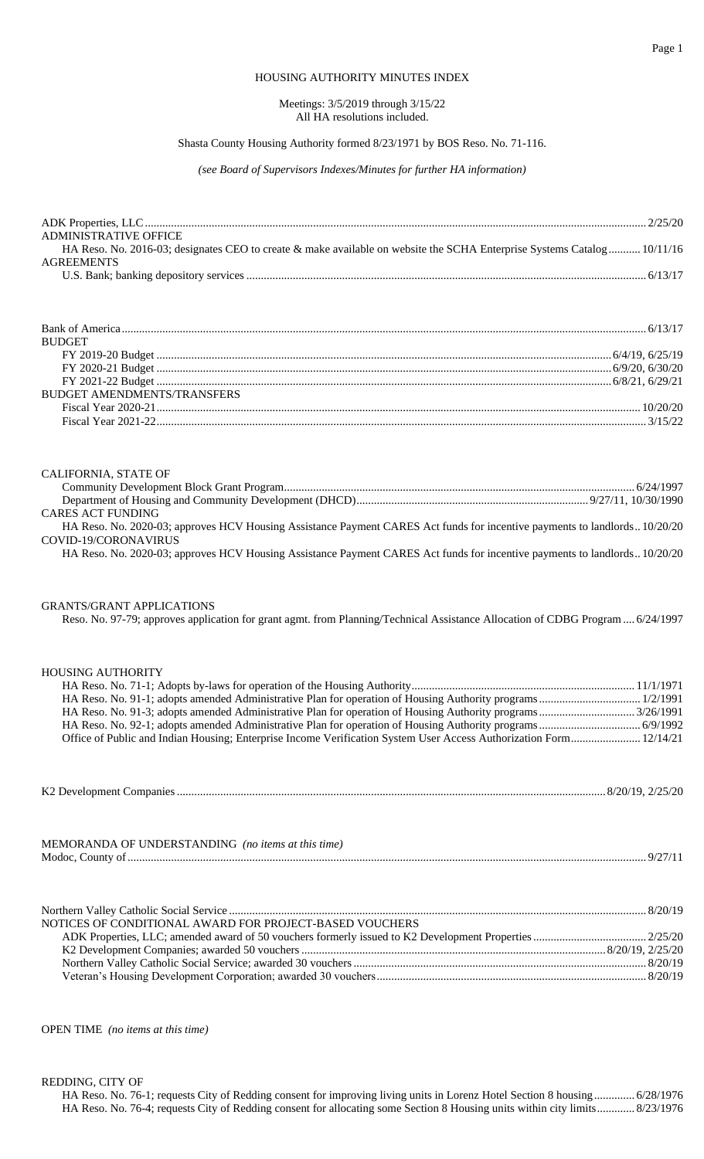#### Page 1

## HOUSING AUTHORITY MINUTES INDEX

#### Meetings: 3/5/2019 through 3/15/22 All HA resolutions included.

### Shasta County Housing Authority formed 8/23/1971 by BOS Reso. No. 71-116.

*(see Board of Supervisors Indexes/Minutes for further HA information)*

| <b>ADMINISTRATIVE OFFICE</b>                                                                                            |  |
|-------------------------------------------------------------------------------------------------------------------------|--|
| HA Reso. No. 2016-03; designates CEO to create & make available on website the SCHA Enterprise Systems Catalog 10/11/16 |  |
| <b>AGREEMENTS</b>                                                                                                       |  |
|                                                                                                                         |  |

| <b>BUDGET</b>                      |  |
|------------------------------------|--|
|                                    |  |
|                                    |  |
|                                    |  |
| <b>BUDGET AMENDMENTS/TRANSFERS</b> |  |
|                                    |  |
|                                    |  |
|                                    |  |

# CALIFORNIA, STATE OF

| <b>CARES ACT FUNDING</b>                                                                                                   |  |
|----------------------------------------------------------------------------------------------------------------------------|--|
| HA Reso. No. 2020-03; approves HCV Housing Assistance Payment CARES Act funds for incentive payments to landlords 10/20/20 |  |
| COVID-19/CORONAVIRUS                                                                                                       |  |
| HA Reso. No. 2020-03; approves HCV Housing Assistance Payment CARES Act funds for incentive payments to landlords 10/20/20 |  |

### GRANTS/GRANT APPLICATIONS

Reso. No. 97-79; approves application for grant agmt. from Planning/Technical Assistance Allocation of CDBG Program.... 6/24/1997

### HOUSING AUTHORITY

| Office of Public and Indian Housing; Enterprise Income Verification System User Access Authorization Form 12/14/21 |  |
|--------------------------------------------------------------------------------------------------------------------|--|
|                                                                                                                    |  |

| K <sub>2</sub> Development Companies |  |
|--------------------------------------|--|
|--------------------------------------|--|

| MEMORANDA OF UNDERSTANDING (no items at this time) |  |
|----------------------------------------------------|--|
| Modoc                                              |  |

| NOTICES OF CONDITIONAL AWARD FOR PROJECT-BASED VOUCHERS |  |
|---------------------------------------------------------|--|
|                                                         |  |
|                                                         |  |
|                                                         |  |
|                                                         |  |

OPEN TIME *(no items at this time)*

REDDING, CITY OF

| HA Reso. No. 76-1; requests City of Redding consent for improving living units in Lorenz Hotel Section 8 housing  6/28/1976  |  |
|------------------------------------------------------------------------------------------------------------------------------|--|
| HA Reso. No. 76-4; requests City of Redding consent for allocating some Section 8 Housing units within city limits 8/23/1976 |  |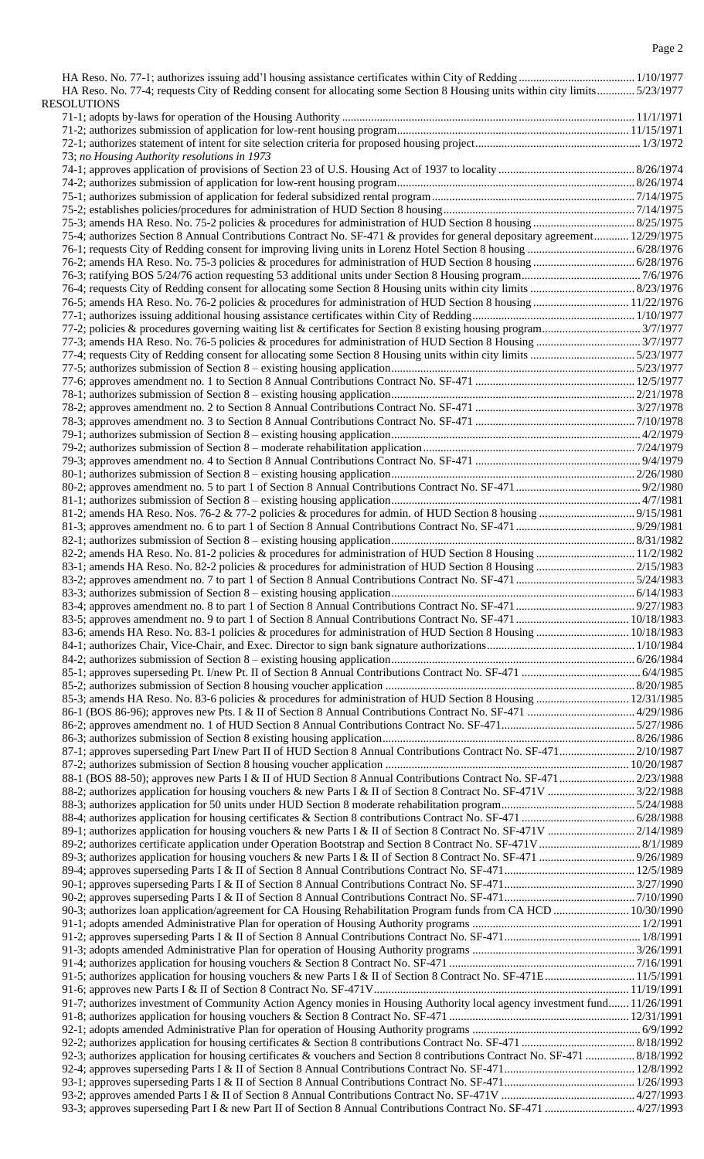| HA Reso. No. 77-4; requests City of Redding consent for allocating some Section 8 Housing units within city limits 5/23/1977 |  |
|------------------------------------------------------------------------------------------------------------------------------|--|
| <b>RESOLUTIONS</b>                                                                                                           |  |
|                                                                                                                              |  |
|                                                                                                                              |  |
|                                                                                                                              |  |
|                                                                                                                              |  |
| 73; no Housing Authority resolutions in 1973                                                                                 |  |
|                                                                                                                              |  |
|                                                                                                                              |  |
|                                                                                                                              |  |
|                                                                                                                              |  |
|                                                                                                                              |  |
|                                                                                                                              |  |
| 75-4; authorizes Section 8 Annual Contributions Contract No. SF-471 & provides for general depositary agreement 12/29/1975   |  |
|                                                                                                                              |  |
|                                                                                                                              |  |
|                                                                                                                              |  |
|                                                                                                                              |  |
|                                                                                                                              |  |
| 76-5; amends HA Reso. No. 76-2 policies & procedures for administration of HUD Section 8 housing  11/22/1976                 |  |
|                                                                                                                              |  |
|                                                                                                                              |  |
|                                                                                                                              |  |
|                                                                                                                              |  |
|                                                                                                                              |  |
|                                                                                                                              |  |
|                                                                                                                              |  |
|                                                                                                                              |  |
|                                                                                                                              |  |
|                                                                                                                              |  |
|                                                                                                                              |  |
|                                                                                                                              |  |
|                                                                                                                              |  |
|                                                                                                                              |  |
|                                                                                                                              |  |
|                                                                                                                              |  |
|                                                                                                                              |  |
|                                                                                                                              |  |
|                                                                                                                              |  |
|                                                                                                                              |  |
|                                                                                                                              |  |
|                                                                                                                              |  |
|                                                                                                                              |  |
|                                                                                                                              |  |
|                                                                                                                              |  |
|                                                                                                                              |  |
|                                                                                                                              |  |
|                                                                                                                              |  |
|                                                                                                                              |  |
|                                                                                                                              |  |
| 83-6; amends HA Reso. No. 83-1 policies & procedures for administration of HUD Section 8 Housing  10/18/1983                 |  |
|                                                                                                                              |  |
|                                                                                                                              |  |
|                                                                                                                              |  |
|                                                                                                                              |  |
|                                                                                                                              |  |
| 85-3; amends HA Reso. No. 83-6 policies & procedures for administration of HUD Section 8 Housing  12/31/1985                 |  |
|                                                                                                                              |  |
|                                                                                                                              |  |
|                                                                                                                              |  |
|                                                                                                                              |  |
| 87-1; approves superseding Part I/new Part II of HUD Section 8 Annual Contributions Contract No. SF-471 2/10/1987            |  |
|                                                                                                                              |  |
|                                                                                                                              |  |
|                                                                                                                              |  |
|                                                                                                                              |  |
|                                                                                                                              |  |
|                                                                                                                              |  |
|                                                                                                                              |  |
|                                                                                                                              |  |
|                                                                                                                              |  |
|                                                                                                                              |  |
|                                                                                                                              |  |
|                                                                                                                              |  |
|                                                                                                                              |  |
|                                                                                                                              |  |
| 90-3; authorizes loan application/agreement for CA Housing Rehabilitation Program funds from CA HCD  10/30/1990              |  |
|                                                                                                                              |  |
|                                                                                                                              |  |
|                                                                                                                              |  |
|                                                                                                                              |  |
|                                                                                                                              |  |
| 91-5; authorizes application for housing vouchers & new Parts I & II of Section 8 Contract No. SF-471E 11/5/1991             |  |
|                                                                                                                              |  |
| 91-7; authorizes investment of Community Action Agency monies in Housing Authority local agency investment fund 1/26/1991    |  |
|                                                                                                                              |  |
|                                                                                                                              |  |
|                                                                                                                              |  |
|                                                                                                                              |  |
| 92-3; authorizes application for housing certificates & vouchers and Section 8 contributions Contract No. SF-471  8/18/1992  |  |
|                                                                                                                              |  |
|                                                                                                                              |  |
|                                                                                                                              |  |
|                                                                                                                              |  |
| 93-3; approves superseding Part I & new Part II of Section 8 Annual Contributions Contract No. SF-471  4/27/1993             |  |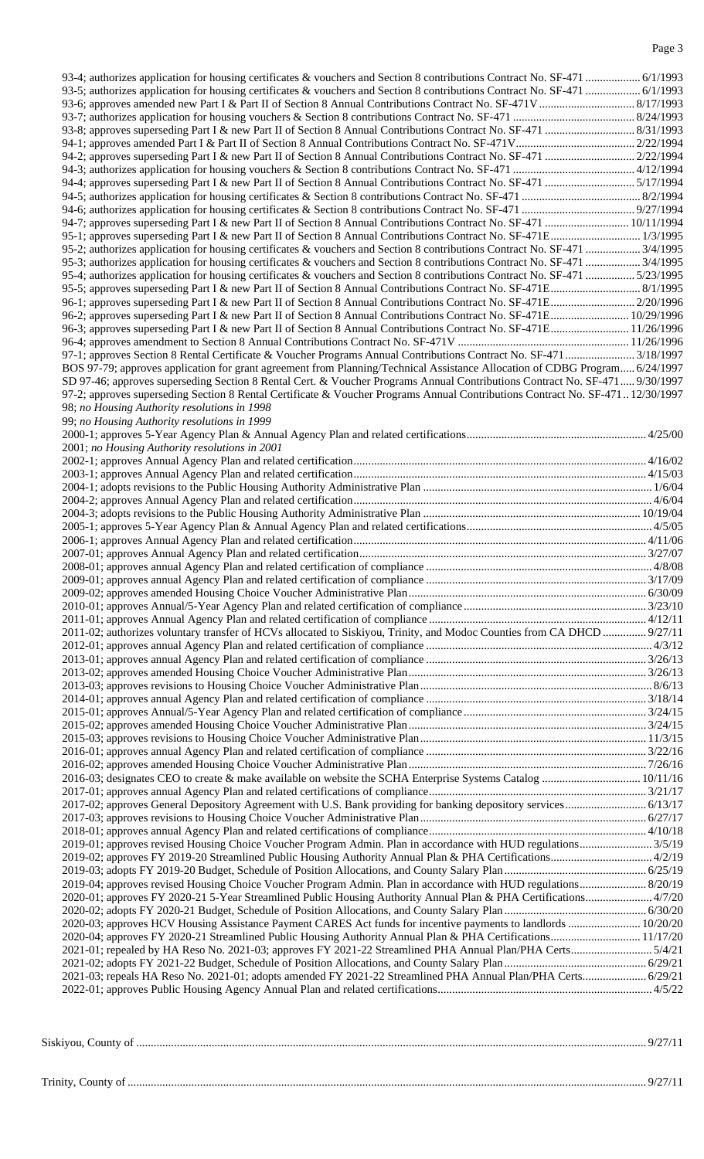| 94-4; approves superseding Part I & new Part II of Section 8 Annual Contributions Contract No. SF-471 5/17/1994               |  |
|-------------------------------------------------------------------------------------------------------------------------------|--|
|                                                                                                                               |  |
|                                                                                                                               |  |
|                                                                                                                               |  |
| 94-7; approves superseding Part I & new Part II of Section 8 Annual Contributions Contract No. SF-471  10/11/1994             |  |
|                                                                                                                               |  |
|                                                                                                                               |  |
|                                                                                                                               |  |
|                                                                                                                               |  |
| 95-3; authorizes application for housing certificates & vouchers and Section 8 contributions Contract No. SF-471  3/4/1995    |  |
| 95-4; authorizes application for housing certificates & vouchers and Section 8 contributions Contract No. SF-471  5/23/1995   |  |
|                                                                                                                               |  |
| 96-1; approves superseding Part I & new Part II of Section 8 Annual Contributions Contract No. SF-471E 2/20/1996              |  |
|                                                                                                                               |  |
| 96-2; approves superseding Part I & new Part II of Section 8 Annual Contributions Contract No. SF-471E 10/29/1996             |  |
| 96-3; approves superseding Part I & new Part II of Section 8 Annual Contributions Contract No. SF-471E 11/26/1996             |  |
|                                                                                                                               |  |
|                                                                                                                               |  |
|                                                                                                                               |  |
| BOS 97-79; approves application for grant agreement from Planning/Technical Assistance Allocation of CDBG Program 6/24/1997   |  |
| SD 97-46; approves superseding Section 8 Rental Cert. & Voucher Programs Annual Contributions Contract No. SF-471  9/30/1997  |  |
|                                                                                                                               |  |
| 97-2; approves superseding Section 8 Rental Certificate & Voucher Programs Annual Contributions Contract No. SF-47112/30/1997 |  |
| 98; no Housing Authority resolutions in 1998                                                                                  |  |
| 99; no Housing Authority resolutions in 1999                                                                                  |  |
|                                                                                                                               |  |
|                                                                                                                               |  |
| 2001; no Housing Authority resolutions in 2001                                                                                |  |
|                                                                                                                               |  |
|                                                                                                                               |  |
|                                                                                                                               |  |
|                                                                                                                               |  |
|                                                                                                                               |  |
|                                                                                                                               |  |
|                                                                                                                               |  |
|                                                                                                                               |  |
|                                                                                                                               |  |
|                                                                                                                               |  |
|                                                                                                                               |  |
|                                                                                                                               |  |
|                                                                                                                               |  |
|                                                                                                                               |  |
|                                                                                                                               |  |
|                                                                                                                               |  |
|                                                                                                                               |  |
|                                                                                                                               |  |
|                                                                                                                               |  |
| 2011-02; authorizes voluntary transfer of HCVs allocated to Siskiyou, Trinity, and Modoc Counties from CA DHCD  9/27/11       |  |
|                                                                                                                               |  |
|                                                                                                                               |  |
|                                                                                                                               |  |
|                                                                                                                               |  |
|                                                                                                                               |  |
|                                                                                                                               |  |
|                                                                                                                               |  |
|                                                                                                                               |  |
|                                                                                                                               |  |
|                                                                                                                               |  |
|                                                                                                                               |  |
|                                                                                                                               |  |
|                                                                                                                               |  |
| 2016-03; designates CEO to create & make available on website the SCHA Enterprise Systems Catalog  10/11/16                   |  |
|                                                                                                                               |  |
|                                                                                                                               |  |
| 2017-02; approves General Depository Agreement with U.S. Bank providing for banking depository services 6/13/17               |  |
|                                                                                                                               |  |
|                                                                                                                               |  |
|                                                                                                                               |  |
|                                                                                                                               |  |
|                                                                                                                               |  |
|                                                                                                                               |  |
|                                                                                                                               |  |
| 2019-04; approves revised Housing Choice Voucher Program Admin. Plan in accordance with HUD regulations 8/20/19               |  |
| 2020-01; approves FY 2020-21 5-Year Streamlined Public Housing Authority Annual Plan & PHA Certifications4/7/20               |  |
|                                                                                                                               |  |
|                                                                                                                               |  |
| 2020-03; approves HCV Housing Assistance Payment CARES Act funds for incentive payments to landlords  10/20/20                |  |
|                                                                                                                               |  |
| 2021-01; repealed by HA Reso No. 2021-03; approves FY 2021-22 Streamlined PHA Annual Plan/PHA Certs5/4/21                     |  |
|                                                                                                                               |  |
|                                                                                                                               |  |
| 2021-03; repeals HA Reso No. 2021-01; adopts amended FY 2021-22 Streamlined PHA Annual Plan/PHA Certs 6/29/21                 |  |
|                                                                                                                               |  |

| $\sim$<br>ountv |  |
|-----------------|--|
|                 |  |
|                 |  |

# Trinity, County of ................................................................................................................................................................................... 9/27/11